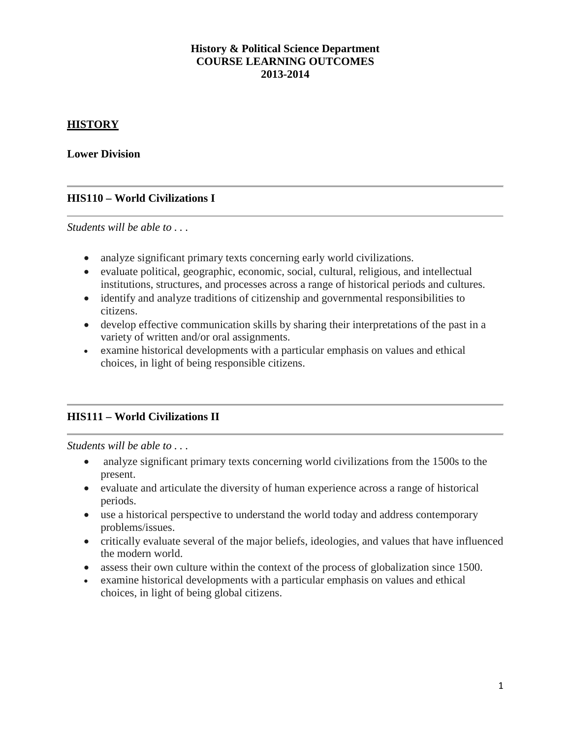# **History & Political Science Department COURSE LEARNING OUTCOMES 2013-2014**

# **HISTORY**

**Lower Division**

# **HIS110 – World Civilizations I**

*Students will be able to . . .* 

- analyze significant primary texts concerning early world civilizations.
- evaluate political, geographic, economic, social, cultural, religious, and intellectual institutions, structures, and processes across a range of historical periods and cultures.
- identify and analyze traditions of citizenship and governmental responsibilities to citizens.
- develop effective communication skills by sharing their interpretations of the past in a variety of written and/or oral assignments.
- examine historical developments with a particular emphasis on values and ethical choices, in light of being responsible citizens.

# **HIS111 – World Civilizations II**

- analyze significant primary texts concerning world civilizations from the 1500s to the present.
- evaluate and articulate the diversity of human experience across a range of historical periods.
- use a historical perspective to understand the world today and address contemporary problems/issues.
- critically evaluate several of the major beliefs, ideologies, and values that have influenced the modern world.
- assess their own culture within the context of the process of globalization since 1500.
- examine historical developments with a particular emphasis on values and ethical choices, in light of being global citizens.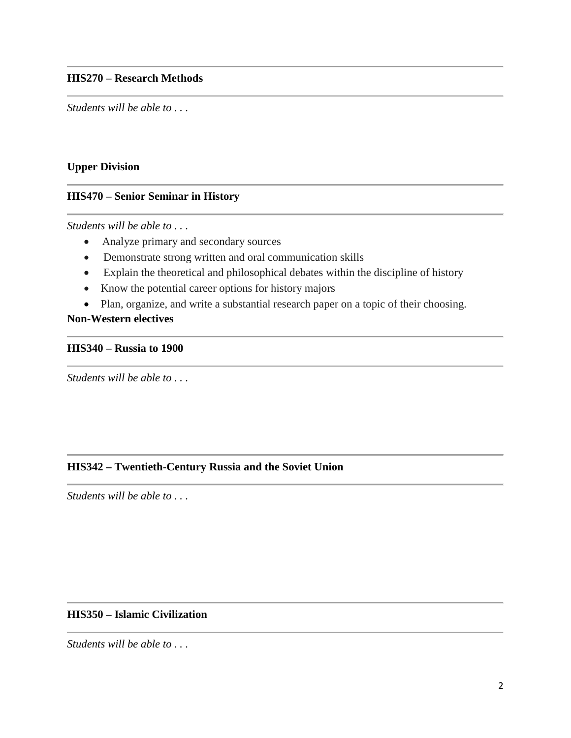*Students will be able to . . .* 

#### **Upper Division**

# **HIS470 – Senior Seminar in History**

*Students will be able to . . .* 

- Analyze primary and secondary sources
- Demonstrate strong written and oral communication skills
- Explain the theoretical and philosophical debates within the discipline of history
- Know the potential career options for history majors
- Plan, organize, and write a substantial research paper on a topic of their choosing.

## **Non-Western electives**

#### **HIS340 – Russia to 1900**

*Students will be able to . . .* 

#### **HIS342 – Twentieth-Century Russia and the Soviet Union**

*Students will be able to . . .* 

### **HIS350 – Islamic Civilization**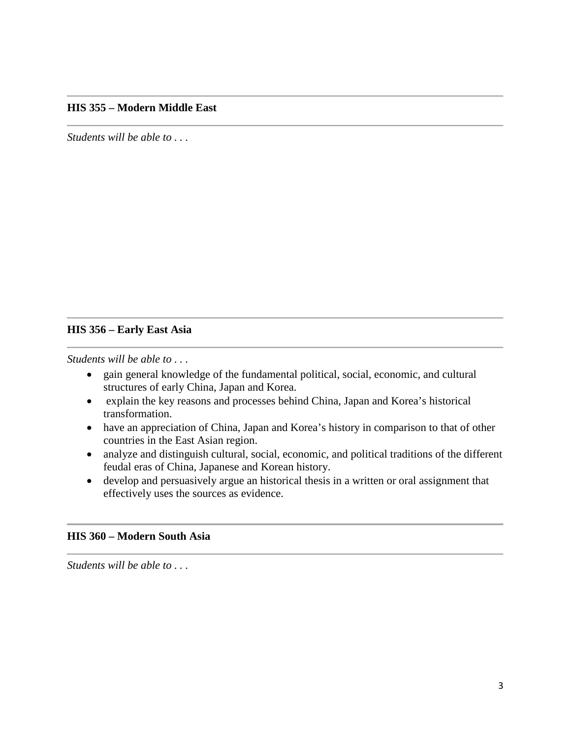### **HIS 355 – Modern Middle East**

*Students will be able to . . .* 

#### **HIS 356 – Early East Asia**

*Students will be able to . . .* 

- gain general knowledge of the fundamental political, social, economic, and cultural structures of early China, Japan and Korea.
- explain the key reasons and processes behind China, Japan and Korea's historical transformation.
- have an appreciation of China, Japan and Korea's history in comparison to that of other countries in the East Asian region.
- analyze and distinguish cultural, social, economic, and political traditions of the different feudal eras of China, Japanese and Korean history.
- develop and persuasively argue an historical thesis in a written or oral assignment that effectively uses the sources as evidence.

#### **HIS 360 – Modern South Asia**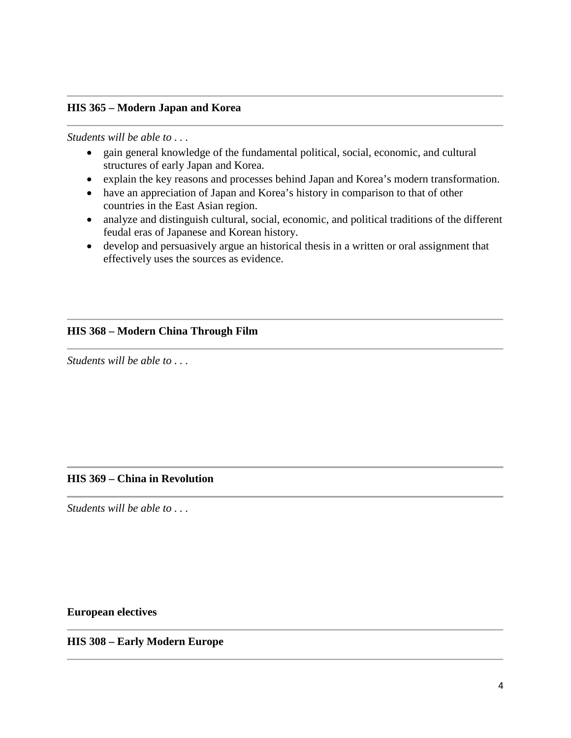### **HIS 365 – Modern Japan and Korea**

#### *Students will be able to . . .*

- gain general knowledge of the fundamental political, social, economic, and cultural structures of early Japan and Korea.
- explain the key reasons and processes behind Japan and Korea's modern transformation.
- have an appreciation of Japan and Korea's history in comparison to that of other countries in the East Asian region.
- analyze and distinguish cultural, social, economic, and political traditions of the different feudal eras of Japanese and Korean history.
- develop and persuasively argue an historical thesis in a written or oral assignment that effectively uses the sources as evidence.

#### **HIS 368 – Modern China Through Film**

*Students will be able to . . .* 

#### **HIS 369 – China in Revolution**

*Students will be able to . . .* 

**European electives**

**HIS 308 – Early Modern Europe**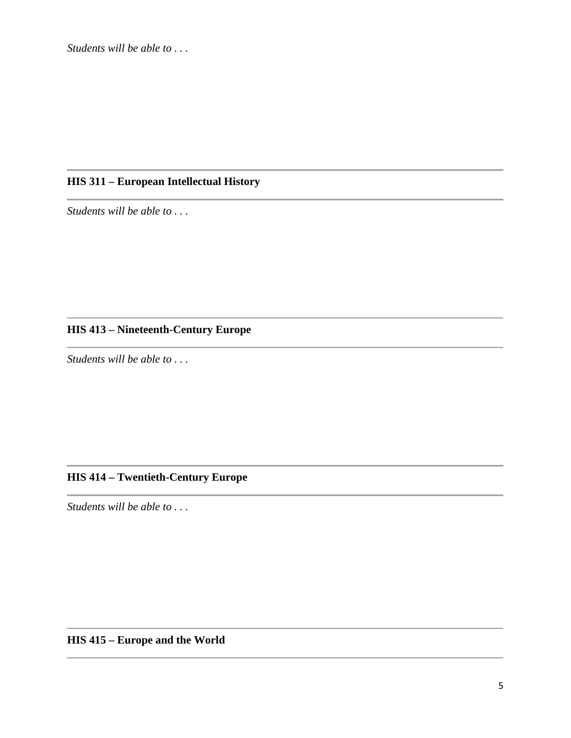# **HIS 311 – European Intellectual History**

*Students will be able to . . .* 

# **HIS 413 – Nineteenth-Century Europe**

*Students will be able to . . .* 

# **HIS 414 – Twentieth-Century Europe**

*Students will be able to . . .* 

**HIS 415 – Europe and the World**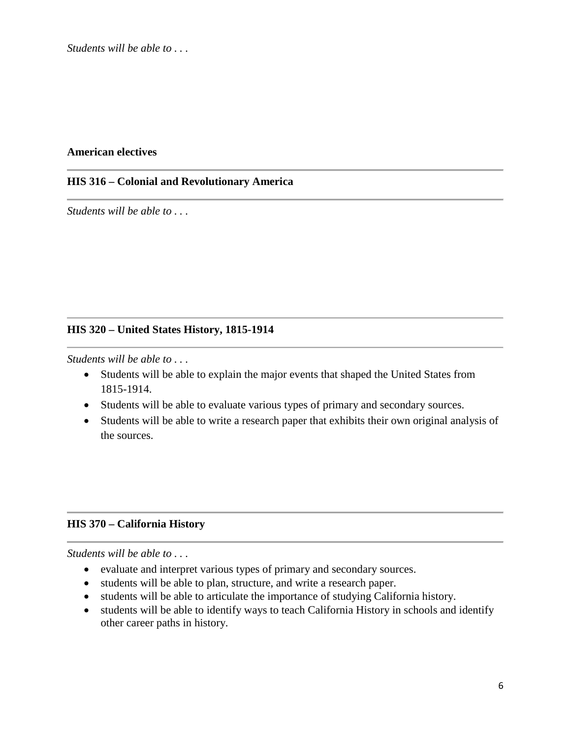#### **American electives**

#### **HIS 316 – Colonial and Revolutionary America**

*Students will be able to . . .* 

#### **HIS 320 – United States History, 1815-1914**

*Students will be able to . . .* 

- Students will be able to explain the major events that shaped the United States from 1815-1914.
- Students will be able to evaluate various types of primary and secondary sources.
- Students will be able to write a research paper that exhibits their own original analysis of the sources.

#### **HIS 370 – California History**

- evaluate and interpret various types of primary and secondary sources.
- students will be able to plan, structure, and write a research paper.
- students will be able to articulate the importance of studying California history.
- students will be able to identify ways to teach California History in schools and identify other career paths in history.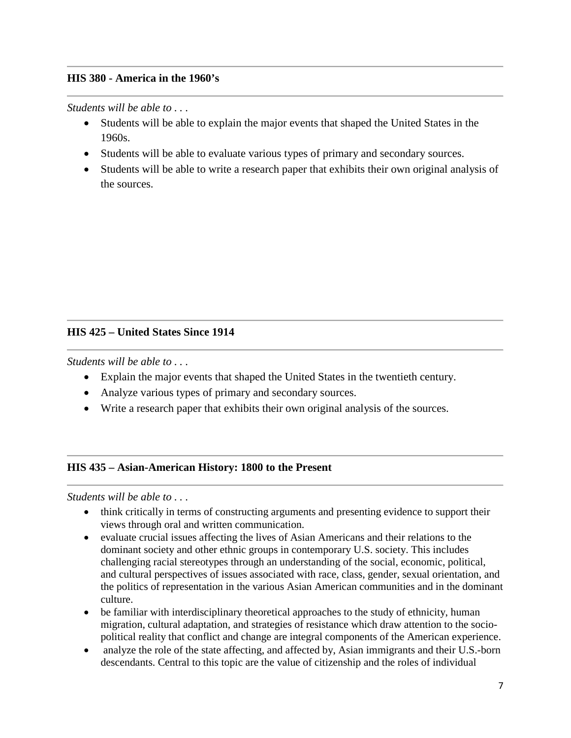## **HIS 380 - America in the 1960's**

*Students will be able to . . .* 

- Students will be able to explain the major events that shaped the United States in the 1960s.
- Students will be able to evaluate various types of primary and secondary sources.
- Students will be able to write a research paper that exhibits their own original analysis of the sources.

## **HIS 425 – United States Since 1914**

*Students will be able to . . .* 

- Explain the major events that shaped the United States in the twentieth century.
- Analyze various types of primary and secondary sources.
- Write a research paper that exhibits their own original analysis of the sources.

#### **HIS 435 – Asian-American History: 1800 to the Present**

- think critically in terms of constructing arguments and presenting evidence to support their views through oral and written communication.
- evaluate crucial issues affecting the lives of Asian Americans and their relations to the dominant society and other ethnic groups in contemporary U.S. society. This includes challenging racial stereotypes through an understanding of the social, economic, political, and cultural perspectives of issues associated with race, class, gender, sexual orientation, and the politics of representation in the various Asian American communities and in the dominant culture.
- be familiar with interdisciplinary theoretical approaches to the study of ethnicity, human migration, cultural adaptation, and strategies of resistance which draw attention to the sociopolitical reality that conflict and change are integral components of the American experience.
- analyze the role of the state affecting, and affected by, Asian immigrants and their U.S.-born descendants. Central to this topic are the value of citizenship and the roles of individual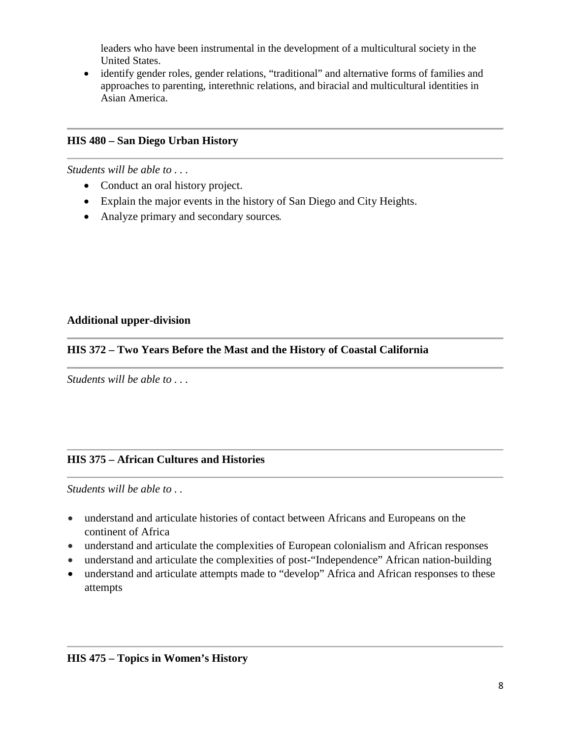leaders who have been instrumental in the development of a multicultural society in the United States.

• identify gender roles, gender relations, "traditional" and alternative forms of families and approaches to parenting, interethnic relations, and biracial and multicultural identities in Asian America.

# **HIS 480 – San Diego Urban History**

*Students will be able to . . .* 

- Conduct an oral history project.
- Explain the major events in the history of San Diego and City Heights.
- Analyze primary and secondary sources.

# **Additional upper-division**

# **HIS 372 – Two Years Before the Mast and the History of Coastal California**

*Students will be able to . . .* 

# **HIS 375 – African Cultures and Histories**

- understand and articulate histories of contact between Africans and Europeans on the continent of Africa
- understand and articulate the complexities of European colonialism and African responses
- understand and articulate the complexities of post-"Independence" African nation-building
- understand and articulate attempts made to "develop" Africa and African responses to these attempts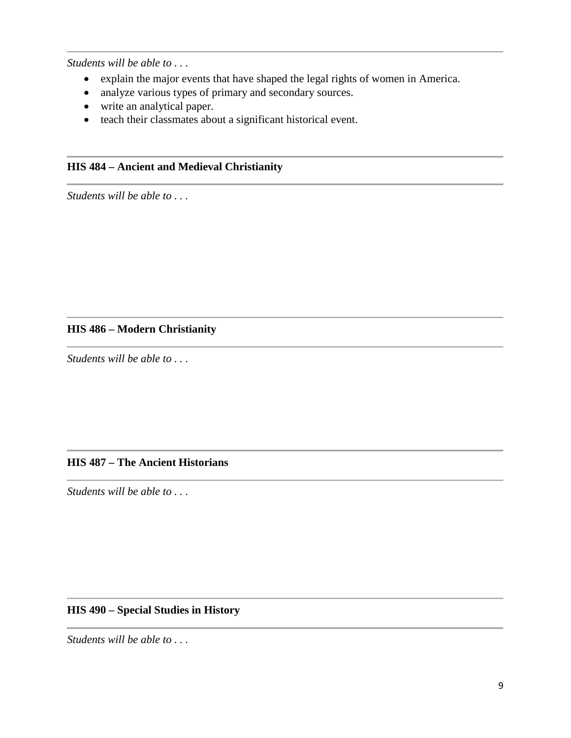*Students will be able to . . .* 

- explain the major events that have shaped the legal rights of women in America.
- analyze various types of primary and secondary sources.
- write an analytical paper.
- teach their classmates about a significant historical event.

# **HIS 484 – Ancient and Medieval Christianity**

*Students will be able to . . .* 

# **HIS 486 – Modern Christianity**

*Students will be able to . . .* 

#### **HIS 487 – The Ancient Historians**

*Students will be able to . . .* 

# **HIS 490 – Special Studies in History**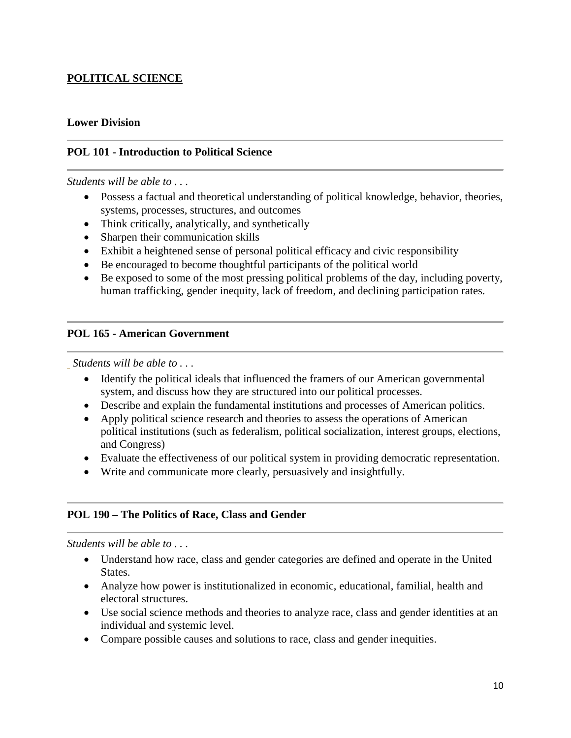# **POLITICAL SCIENCE**

### **Lower Division**

### **POL 101 - Introduction to Political Science**

#### *Students will be able to . . .*

- Possess a factual and theoretical understanding of political knowledge, behavior, theories, systems, processes, structures, and outcomes
- Think critically, analytically, and synthetically
- Sharpen their communication skills
- Exhibit a heightened sense of personal political efficacy and civic responsibility
- Be encouraged to become thoughtful participants of the political world
- Be exposed to some of the most pressing political problems of the day, including poverty, human trafficking, gender inequity, lack of freedom, and declining participation rates.

#### **POL 165 - American Government**

*Students will be able to . . .*

- Identify the political ideals that influenced the framers of our American governmental system, and discuss how they are structured into our political processes.
- Describe and explain the fundamental institutions and processes of American politics.
- Apply political science research and theories to assess the operations of American political institutions (such as federalism, political socialization, interest groups, elections, and Congress)
- Evaluate the effectiveness of our political system in providing democratic representation.
- Write and communicate more clearly, persuasively and insightfully.

#### **POL 190 – The Politics of Race, Class and Gender**

- Understand how race, class and gender categories are defined and operate in the United States.
- Analyze how power is institutionalized in economic, educational, familial, health and electoral structures.
- Use social science methods and theories to analyze race, class and gender identities at an individual and systemic level.
- Compare possible causes and solutions to race, class and gender inequities.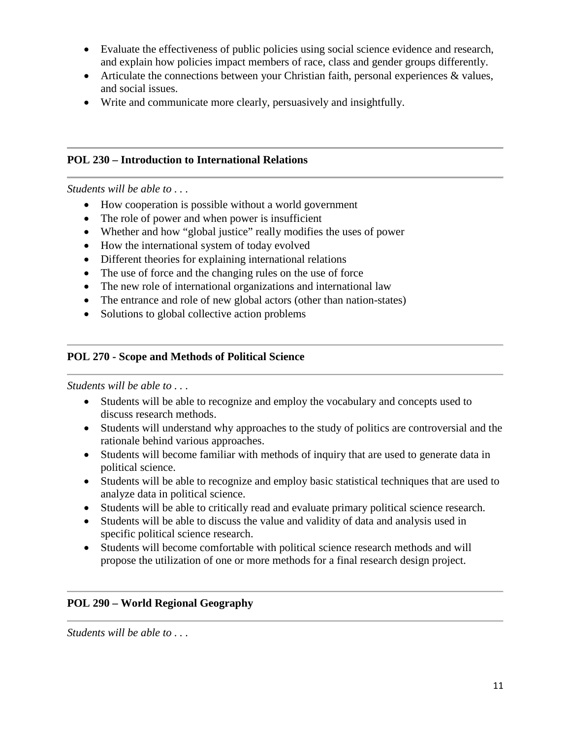- Evaluate the effectiveness of public policies using social science evidence and research, and explain how policies impact members of race, class and gender groups differently.
- Articulate the connections between your Christian faith, personal experiences & values, and social issues.
- Write and communicate more clearly, persuasively and insightfully.

### **POL 230 – Introduction to International Relations**

*Students will be able to . . .*

- How cooperation is possible without a world government
- The role of power and when power is insufficient
- Whether and how "global justice" really modifies the uses of power
- How the international system of today evolved
- Different theories for explaining international relations
- The use of force and the changing rules on the use of force
- The new role of international organizations and international law
- The entrance and role of new global actors (other than nation-states)
- Solutions to global collective action problems

## **POL 270 - Scope and Methods of Political Science**

*Students will be able to . . .*

- Students will be able to recognize and employ the vocabulary and concepts used to discuss research methods.
- Students will understand why approaches to the study of politics are controversial and the rationale behind various approaches.
- Students will become familiar with methods of inquiry that are used to generate data in political science.
- Students will be able to recognize and employ basic statistical techniques that are used to analyze data in political science.
- Students will be able to critically read and evaluate primary political science research.
- Students will be able to discuss the value and validity of data and analysis used in specific political science research.
- Students will become comfortable with political science research methods and will propose the utilization of one or more methods for a final research design project.

#### **POL 290 – World Regional Geography**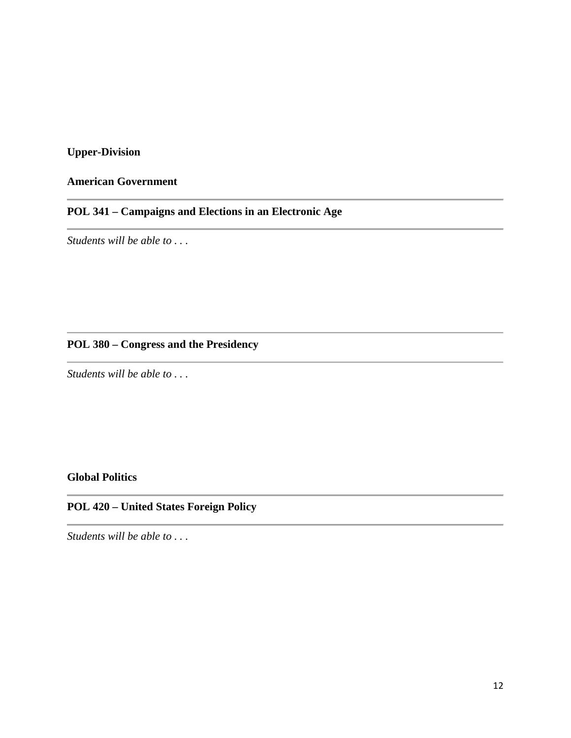# **Upper-Division**

# **American Government**

# **POL 341 – Campaigns and Elections in an Electronic Age**

*Students will be able to . . .*

# **POL 380 – Congress and the Presidency**

*Students will be able to . . .*

# **Global Politics**

# **POL 420 – United States Foreign Policy**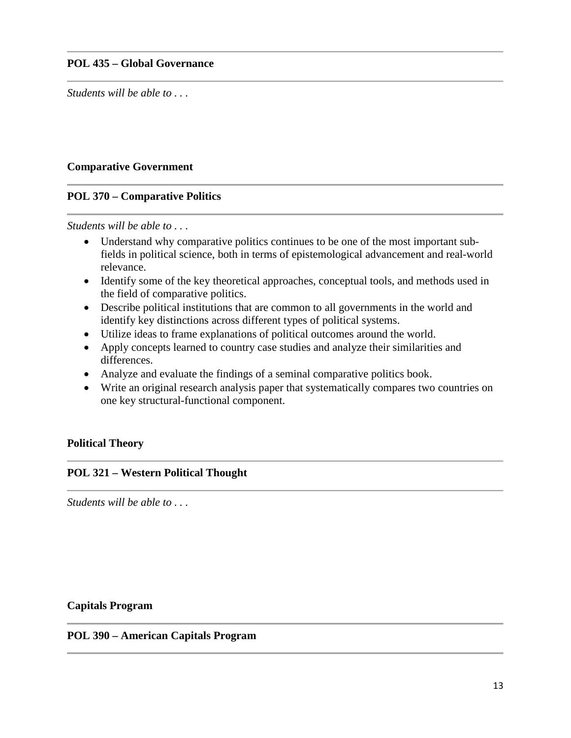#### **POL 435 – Global Governance**

*Students will be able to . . .* 

#### **Comparative Government**

#### **POL 370 – Comparative Politics**

*Students will be able to . . .*

- Understand why comparative politics continues to be one of the most important subfields in political science, both in terms of epistemological advancement and real-world relevance.
- Identify some of the key theoretical approaches, conceptual tools, and methods used in the field of comparative politics.
- Describe political institutions that are common to all governments in the world and identify key distinctions across different types of political systems.
- Utilize ideas to frame explanations of political outcomes around the world.
- Apply concepts learned to country case studies and analyze their similarities and differences.
- Analyze and evaluate the findings of a seminal comparative politics book.
- Write an original research analysis paper that systematically compares two countries on one key structural-functional component.

#### **Political Theory**

#### **POL 321 – Western Political Thought**

*Students will be able to . . .*

#### **Capitals Program**

#### **POL 390 – American Capitals Program**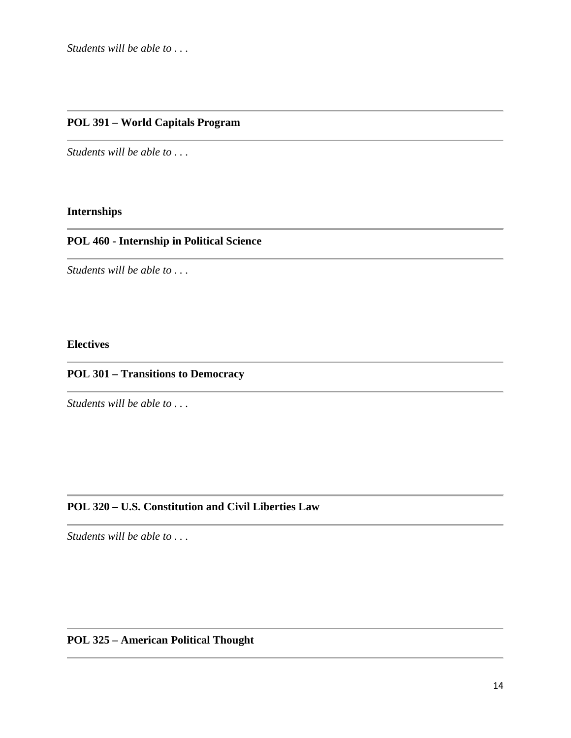# **POL 391 – World Capitals Program**

*Students will be able to . . .*

# **Internships**

# **POL 460 - Internship in Political Science**

*Students will be able to . . .*

# **Electives**

# **POL 301 – Transitions to Democracy**

*Students will be able to . . .*

### **POL 320 – U.S. Constitution and Civil Liberties Law**

*Students will be able to . . .*

## **POL 325 – American Political Thought**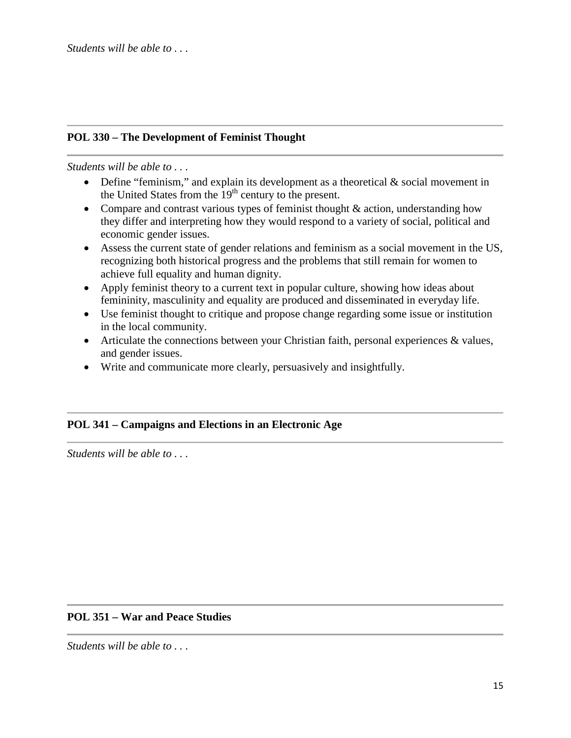# **POL 330 – The Development of Feminist Thought**

#### *Students will be able to . . .*

- Define "feminism," and explain its development as a theoretical & social movement in the United States from the  $19<sup>th</sup>$  century to the present.
- Compare and contrast various types of feminist thought  $&$  action, understanding how they differ and interpreting how they would respond to a variety of social, political and economic gender issues.
- Assess the current state of gender relations and feminism as a social movement in the US, recognizing both historical progress and the problems that still remain for women to achieve full equality and human dignity.
- Apply feminist theory to a current text in popular culture, showing how ideas about femininity, masculinity and equality are produced and disseminated in everyday life.
- Use feminist thought to critique and propose change regarding some issue or institution in the local community.
- Articulate the connections between your Christian faith, personal experiences & values, and gender issues.
- Write and communicate more clearly, persuasively and insightfully.

# **POL 341 – Campaigns and Elections in an Electronic Age**

*Students will be able to . . .*

#### **POL 351 – War and Peace Studies**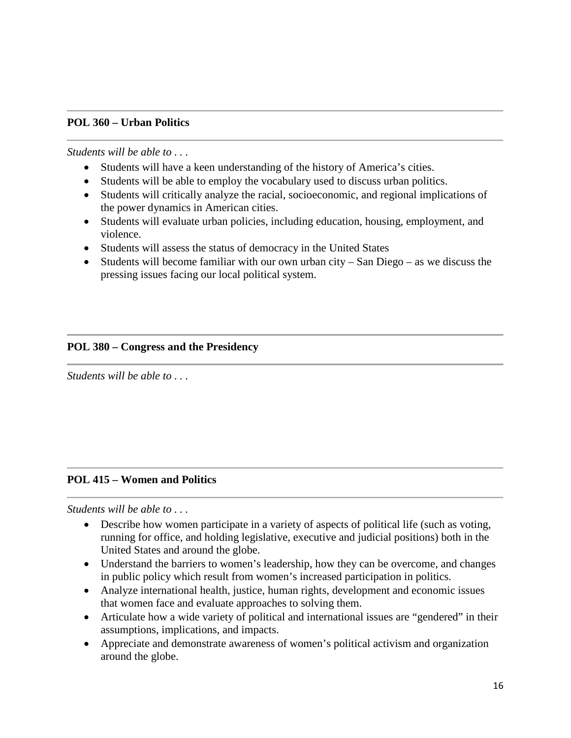### **POL 360 – Urban Politics**

*Students will be able to . . .*

- Students will have a keen understanding of the history of America's cities.
- Students will be able to employ the vocabulary used to discuss urban politics.
- Students will critically analyze the racial, socioeconomic, and regional implications of the power dynamics in American cities.
- Students will evaluate urban policies, including education, housing, employment, and violence.
- Students will assess the status of democracy in the United States
- Students will become familiar with our own urban city San Diego as we discuss the pressing issues facing our local political system.

## **POL 380 – Congress and the Presidency**

*Students will be able to . . .*

# **POL 415 – Women and Politics**

- Describe how women participate in a variety of aspects of political life (such as voting, running for office, and holding legislative, executive and judicial positions) both in the United States and around the globe.
- Understand the barriers to women's leadership, how they can be overcome, and changes in public policy which result from women's increased participation in politics.
- Analyze international health, justice, human rights, development and economic issues that women face and evaluate approaches to solving them.
- Articulate how a wide variety of political and international issues are "gendered" in their assumptions, implications, and impacts.
- Appreciate and demonstrate awareness of women's political activism and organization around the globe.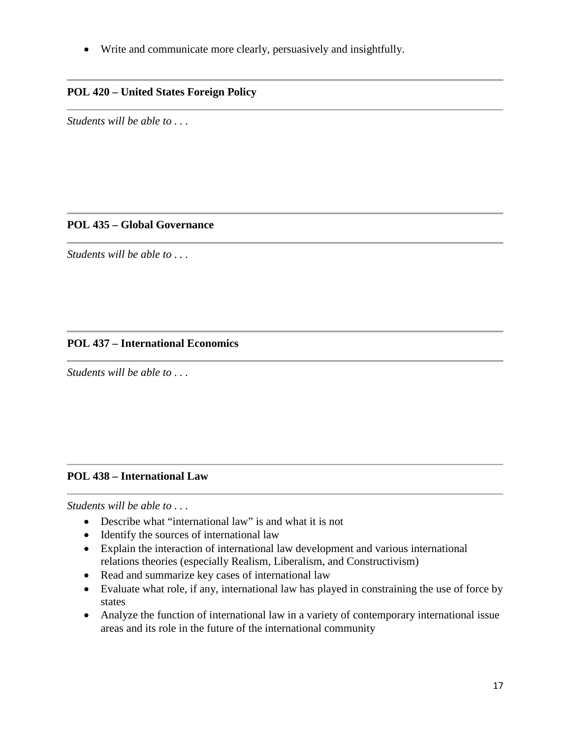• Write and communicate more clearly, persuasively and insightfully.

# **POL 420 – United States Foreign Policy**

*Students will be able to . . .*

# **POL 435 – Global Governance**

*Students will be able to . . .*

#### **POL 437 – International Economics**

*Students will be able to . . .*

# **POL 438 – International Law**

- Describe what "international law" is and what it is not
- Identify the sources of international law
- Explain the interaction of international law development and various international relations theories (especially Realism, Liberalism, and Constructivism)
- Read and summarize key cases of international law
- Evaluate what role, if any, international law has played in constraining the use of force by states
- Analyze the function of international law in a variety of contemporary international issue areas and its role in the future of the international community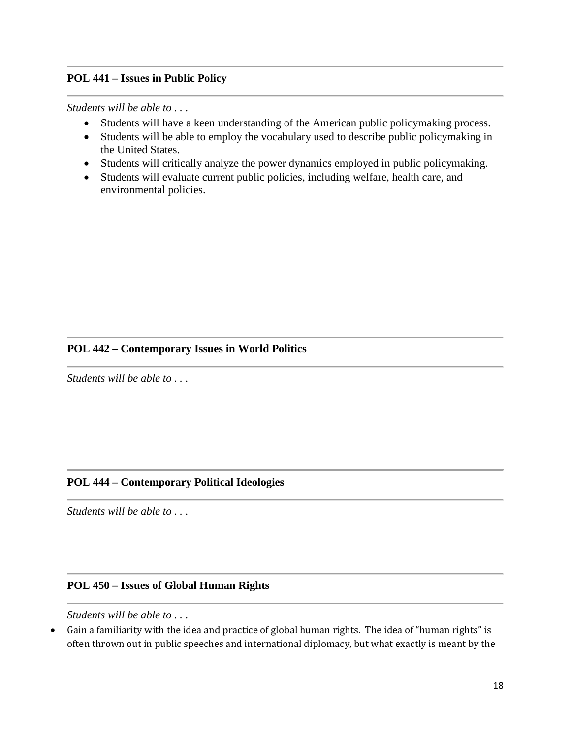## **POL 441 – Issues in Public Policy**

*Students will be able to . . .*

- Students will have a keen understanding of the American public policymaking process.
- Students will be able to employ the vocabulary used to describe public policymaking in the United States.
- Students will critically analyze the power dynamics employed in public policymaking.
- Students will evaluate current public policies, including welfare, health care, and environmental policies.

# **POL 442 – Contemporary Issues in World Politics**

*Students will be able to . . .*

#### **POL 444 – Contemporary Political Ideologies**

*Students will be able to . . .*

#### **POL 450 – Issues of Global Human Rights**

*Students will be able to . . .*

• Gain a familiarity with the idea and practice of global human rights. The idea of "human rights" is often thrown out in public speeches and international diplomacy, but what exactly is meant by the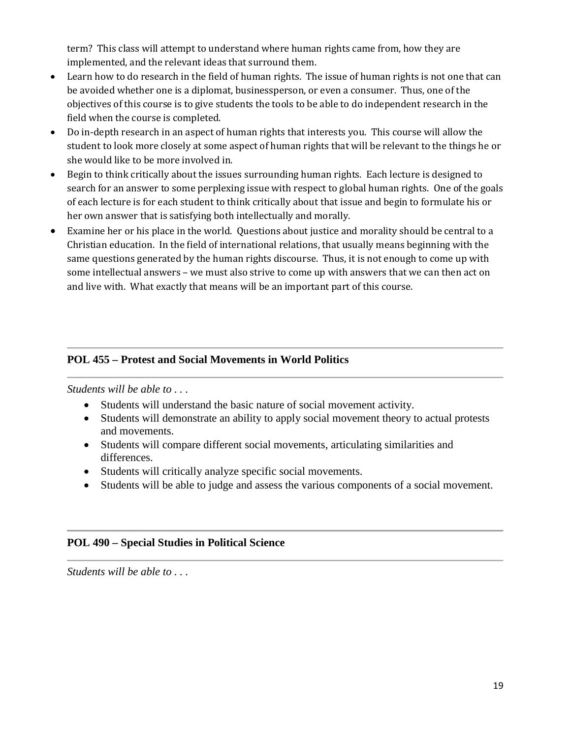term? This class will attempt to understand where human rights came from, how they are implemented, and the relevant ideas that surround them.

- Learn how to do research in the field of human rights. The issue of human rights is not one that can be avoided whether one is a diplomat, businessperson, or even a consumer. Thus, one of the objectives of this course is to give students the tools to be able to do independent research in the field when the course is completed.
- Do in-depth research in an aspect of human rights that interests you. This course will allow the student to look more closely at some aspect of human rights that will be relevant to the things he or she would like to be more involved in.
- Begin to think critically about the issues surrounding human rights. Each lecture is designed to search for an answer to some perplexing issue with respect to global human rights. One of the goals of each lecture is for each student to think critically about that issue and begin to formulate his or her own answer that is satisfying both intellectually and morally.
- Examine her or his place in the world. Questions about justice and morality should be central to a Christian education. In the field of international relations, that usually means beginning with the same questions generated by the human rights discourse. Thus, it is not enough to come up with some intellectual answers – we must also strive to come up with answers that we can then act on and live with. What exactly that means will be an important part of this course.

# **POL 455 – Protest and Social Movements in World Politics**

*Students will be able to . . .*

- Students will understand the basic nature of social movement activity.
- Students will demonstrate an ability to apply social movement theory to actual protests and movements.
- Students will compare different social movements, articulating similarities and differences.
- Students will critically analyze specific social movements.
- Students will be able to judge and assess the various components of a social movement.

#### **POL 490 – Special Studies in Political Science**